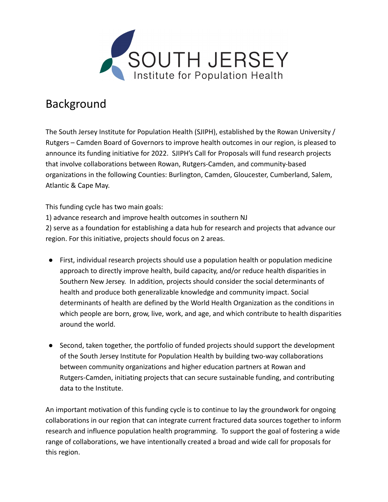

## Background

The South Jersey Institute for Population Health (SJIPH), established by the Rowan University / Rutgers – Camden Board of Governors to improve health outcomes in our region, is pleased to announce its funding initiative for 2022. SJIPH's Call for Proposals will fund research projects that involve collaborations between Rowan, Rutgers-Camden, and community-based organizations in the following Counties: Burlington, Camden, Gloucester, Cumberland, Salem, Atlantic & Cape May.

This funding cycle has two main goals:

1) advance research and improve health outcomes in southern NJ

2) serve as a foundation for establishing a data hub for research and projects that advance our region. For this initiative, projects should focus on 2 areas.

- First, individual research projects should use a population health or population medicine approach to directly improve health, build capacity, and/or reduce health disparities in Southern New Jersey. In addition, projects should consider the social determinants of health and produce both generalizable knowledge and community impact. Social determinants of health are defined by the World Health Organization as the conditions in which people are born, grow, live, work, and age, and which contribute to health disparities around the world.
- Second, taken together, the portfolio of funded projects should support the development of the South Jersey Institute for Population Health by building two-way collaborations between community organizations and higher education partners at Rowan and Rutgers-Camden, initiating projects that can secure sustainable funding, and contributing data to the Institute.

An important motivation of this funding cycle is to continue to lay the groundwork for ongoing collaborations in our region that can integrate current fractured data sources together to inform research and influence population health programming. To support the goal of fostering a wide range of collaborations, we have intentionally created a broad and wide call for proposals for this region.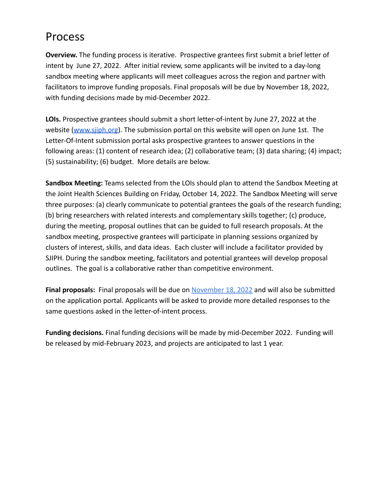## Process

**Overview.** The funding process is iterative. Prospective grantees first submit a brief letter of intent by June 27, 2022. After initial review, some applicants will be invited to a day-long sandbox meeting where applicants will meet colleagues across the region and partner with facilitators to improve funding proposals. Final proposals will be due by November 18, 2022, with funding decisions made by mid-December 2022.

**LOIs.** Prospective grantees should submit a short letter-of-intent by June 27, 2022 at the website [\(www.sjiph.org](http://www.sjiph.org)). The submission portal on this website will open on June 1st. The Letter-Of-Intent submission portal asks prospective grantees to answer questions in the following areas: (1) content of research idea; (2) collaborative team; (3) data sharing; (4) impact; (5) sustainability; (6) budget. More details are below.

**Sandbox Meeting:** Teams selected from the LOIs should plan to attend the Sandbox Meeting at the Joint Health Sciences Building on Friday, October 14, 2022. The Sandbox Meeting will serve three purposes: (a) clearly communicate to potential grantees the goals of the research funding; (b) bring researchers with related interests and complementary skills together; (c) produce, during the meeting, proposal outlines that can be guided to full research proposals. At the sandbox meeting, prospective grantees will participate in planning sessions organized by clusters of interest, skills, and data ideas. Each cluster will include a facilitator provided by SJIPH. During the sandbox meeting, facilitators and potential grantees will develop proposal outlines. The goal is a collaborative rather than competitive environment.

**Final proposals:** Final proposals will be due on November 18, 2022 and will also be submitted on the application portal. Applicants will be asked to provide more detailed responses to the same questions asked in the letter-of-intent process.

**Funding decisions.** Final funding decisions will be made by mid-December 2022. Funding will be released by mid-February 2023, and projects are anticipated to last 1 year.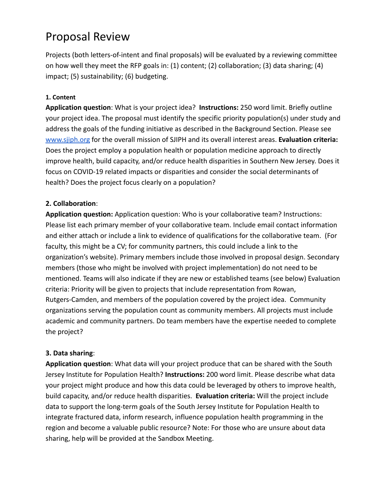## Proposal Review

Projects (both letters-of-intent and final proposals) will be evaluated by a reviewing committee on how well they meet the RFP goals in: (1) content; (2) collaboration; (3) data sharing; (4) impact; (5) sustainability; (6) budgeting.

#### **1. Content**

**Application question**: What is your project idea? **Instructions:** 250 word limit. Briefly outline your project idea. The proposal must identify the specific priority population(s) under study and address the goals of the funding initiative as described in the Background Section. Please see [www.sjiph.org](http://www.sjiph.org) for the overall mission of SJIPH and its overall interest areas. **Evaluation criteria:** Does the project employ a population health or population medicine approach to directly improve health, build capacity, and/or reduce health disparities in Southern New Jersey. Does it focus on COVID-19 related impacts or disparities and consider the social determinants of health? Does the project focus clearly on a population?

#### **2. Collaboration**:

**Application question:** Application question: Who is your collaborative team? Instructions: Please list each primary member of your collaborative team. Include email contact information and either attach or include a link to evidence of qualifications for the collaborative team. (For faculty, this might be a CV; for community partners, this could include a link to the organization's website). Primary members include those involved in proposal design. Secondary members (those who might be involved with project implementation) do not need to be mentioned. Teams will also indicate if they are new or established teams (see below) Evaluation criteria: Priority will be given to projects that include representation from Rowan, Rutgers-Camden, and members of the population covered by the project idea. Community organizations serving the population count as community members. All projects must include academic and community partners. Do team members have the expertise needed to complete the project?

#### **3. Data sharing**:

**Application question**: What data will your project produce that can be shared with the South Jersey Institute for Population Health? **Instructions:** 200 word limit. Please describe what data your project might produce and how this data could be leveraged by others to improve health, build capacity, and/or reduce health disparities. **Evaluation criteria:** Will the project include data to support the long-term goals of the South Jersey Institute for Population Health to integrate fractured data, inform research, influence population health programming in the region and become a valuable public resource? Note: For those who are unsure about data sharing, help will be provided at the Sandbox Meeting.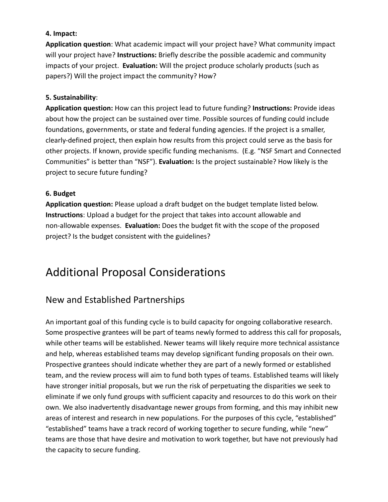#### **4. Impact:**

**Application question**: What academic impact will your project have? What community impact will your project have? **Instructions:** Briefly describe the possible academic and community impacts of your project. **Evaluation:** Will the project produce scholarly products (such as papers?) Will the project impact the community? How?

#### **5. Sustainability**:

**Application question:** How can this project lead to future funding? **Instructions:** Provide ideas about how the project can be sustained over time. Possible sources of funding could include foundations, governments, or state and federal funding agencies. If the project is a smaller, clearly-defined project, then explain how results from this project could serve as the basis for other projects. If known, provide specific funding mechanisms. (E.g. "NSF Smart and Connected Communities" is better than "NSF"). **Evaluation:** Is the project sustainable? How likely is the project to secure future funding?

#### **6. Budget**

**Application question:** Please upload a draft budget on the budget template listed below. **Instructions**: Upload a budget for the project that takes into account allowable and non-allowable expenses. **Evaluation:** Does the budget fit with the scope of the proposed project? Is the budget consistent with the guidelines?

## Additional Proposal Considerations

### New and Established Partnerships

An important goal of this funding cycle is to build capacity for ongoing collaborative research. Some prospective grantees will be part of teams newly formed to address this call for proposals, while other teams will be established. Newer teams will likely require more technical assistance and help, whereas established teams may develop significant funding proposals on their own. Prospective grantees should indicate whether they are part of a newly formed or established team, and the review process will aim to fund both types of teams. Established teams will likely have stronger initial proposals, but we run the risk of perpetuating the disparities we seek to eliminate if we only fund groups with sufficient capacity and resources to do this work on their own. We also inadvertently disadvantage newer groups from forming, and this may inhibit new areas of interest and research in new populations. For the purposes of this cycle, "established" "established" teams have a track record of working together to secure funding, while "new" teams are those that have desire and motivation to work together, but have not previously had the capacity to secure funding.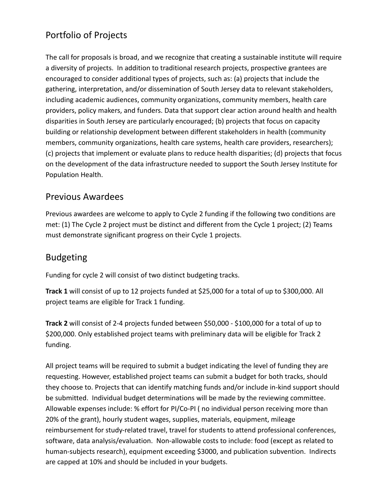### Portfolio of Projects

The call for proposals is broad, and we recognize that creating a sustainable institute will require a diversity of projects. In addition to traditional research projects, prospective grantees are encouraged to consider additional types of projects, such as: (a) projects that include the gathering, interpretation, and/or dissemination of South Jersey data to relevant stakeholders, including academic audiences, community organizations, community members, health care providers, policy makers, and funders. Data that support clear action around health and health disparities in South Jersey are particularly encouraged; (b) projects that focus on capacity building or relationship development between different stakeholders in health (community members, community organizations, health care systems, health care providers, researchers); (c) projects that implement or evaluate plans to reduce health disparities; (d) projects that focus on the development of the data infrastructure needed to support the South Jersey Institute for Population Health.

### Previous Awardees

Previous awardees are welcome to apply to Cycle 2 funding if the following two conditions are met: (1) The Cycle 2 project must be distinct and different from the Cycle 1 project; (2) Teams must demonstrate significant progress on their Cycle 1 projects.

### Budgeting

Funding for cycle 2 will consist of two distinct budgeting tracks.

**Track 1** will consist of up to 12 projects funded at \$25,000 for a total of up to \$300,000. All project teams are eligible for Track 1 funding.

**Track 2** will consist of 2-4 projects funded between \$50,000 - \$100,000 for a total of up to \$200,000. Only established project teams with preliminary data will be eligible for Track 2 funding.

All project teams will be required to submit a budget indicating the level of funding they are requesting. However, established project teams can submit a budget for both tracks, should they choose to. Projects that can identify matching funds and/or include in-kind support should be submitted. Individual budget determinations will be made by the reviewing committee. Allowable expenses include: % effort for PI/Co-PI ( no individual person receiving more than 20% of the grant), hourly student wages, supplies, materials, equipment, mileage reimbursement for study-related travel, travel for students to attend professional conferences, software, data analysis/evaluation. Non-allowable costs to include: food (except as related to human-subjects research), equipment exceeding \$3000, and publication subvention. Indirects are capped at 10% and should be included in your budgets.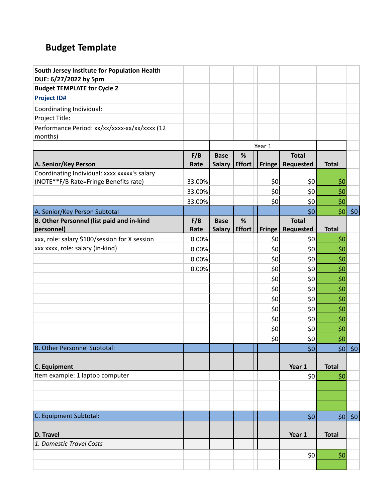# **Budget Template**

| South Jersey Institute for Population Health<br>DUE: 6/27/2022 by 5pm                 |        |               |               |               |                  |              |                        |
|---------------------------------------------------------------------------------------|--------|---------------|---------------|---------------|------------------|--------------|------------------------|
| <b>Budget TEMPLATE for Cycle 2</b>                                                    |        |               |               |               |                  |              |                        |
| <b>Project ID#</b>                                                                    |        |               |               |               |                  |              |                        |
| Coordinating Individual:                                                              |        |               |               |               |                  |              |                        |
| Project Title:                                                                        |        |               |               |               |                  |              |                        |
| Performance Period: xx/xx/xxxx-xx/xx/xxxx (12                                         |        |               |               |               |                  |              |                        |
| months)                                                                               |        |               |               |               |                  |              |                        |
|                                                                                       |        |               |               | Year 1        |                  |              |                        |
|                                                                                       | F/B    | <b>Base</b>   | %             |               | <b>Total</b>     |              |                        |
| A. Senior/Key Person                                                                  | Rate   | <b>Salary</b> | <b>Effort</b> | <b>Fringe</b> | <b>Requested</b> | <b>Total</b> |                        |
| Coordinating Individual: xxxx xxxxx's salary<br>(NOTE**F/B Rate=Fringe Benefits rate) | 33.00% |               |               | \$0           | \$0              | \$0          |                        |
|                                                                                       | 33.00% |               |               | \$0           | \$0              | \$0          |                        |
|                                                                                       | 33.00% |               |               | \$0           | \$0              | \$0          |                        |
| A. Senior/Key Person Subtotal                                                         |        |               |               |               | \$0              | \$0          | \$0                    |
| <b>B. Other Personnel (list paid and in-kind</b>                                      | F/B    | <b>Base</b>   | %             |               | <b>Total</b>     |              |                        |
| personnel)                                                                            | Rate   | <b>Salary</b> | <b>Effort</b> | Fringe        | Requested        | <b>Total</b> |                        |
| xxx, role: salary \$100/session for X session                                         | 0.00%  |               |               | \$0           | \$0              | \$0          |                        |
| xxx xxxx, role: salary (in-kind)                                                      | 0.00%  |               |               | \$0           | \$0              | \$0          |                        |
|                                                                                       | 0.00%  |               |               | \$0           | \$0              | \$0          |                        |
|                                                                                       | 0.00%  |               |               | \$0           | \$0              | \$0          |                        |
|                                                                                       |        |               |               | \$0           | \$0              | \$0          |                        |
|                                                                                       |        |               |               | \$0           | \$0              | \$0          |                        |
|                                                                                       |        |               |               | \$0           | \$0              | \$0          |                        |
|                                                                                       |        |               |               | \$0           | \$0              | \$0          |                        |
|                                                                                       |        |               |               | \$0           | \$0              | \$0          |                        |
|                                                                                       |        |               |               | \$0           | \$0              | \$0          |                        |
|                                                                                       |        |               |               | \$0           | \$0              | \$0          |                        |
| <b>B. Other Personnel Subtotal:</b>                                                   |        |               |               |               | \$0              |              | $\frac{1}{20}$ \$0     |
|                                                                                       |        |               |               |               |                  |              |                        |
| C. Equipment                                                                          |        |               |               |               | Year 1           | <b>Total</b> |                        |
| Item example: 1 laptop computer                                                       |        |               |               |               | \$0              | \$0          |                        |
|                                                                                       |        |               |               |               |                  |              |                        |
|                                                                                       |        |               |               |               |                  |              |                        |
|                                                                                       |        |               |               |               |                  |              |                        |
| C. Equipment Subtotal:                                                                |        |               |               |               | 50               |              | $\vert \sin \vert$ \$0 |
| D. Travel                                                                             |        |               |               |               | Year 1           | <b>Total</b> |                        |
| 1. Domestic Travel Costs                                                              |        |               |               |               |                  |              |                        |
|                                                                                       |        |               |               |               | 50               | \$0          |                        |
|                                                                                       |        |               |               |               |                  |              |                        |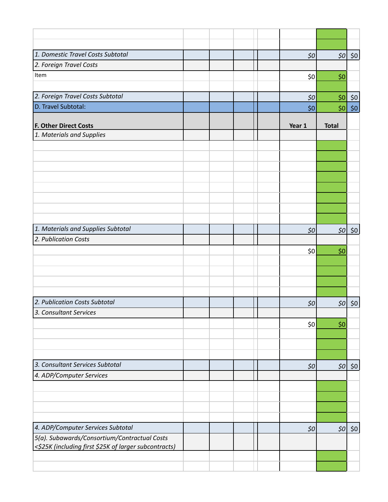| 1. Domestic Travel Costs Subtotal                                                                     |  |  | $$50$  |              | $\left 50\right $ \$0 |
|-------------------------------------------------------------------------------------------------------|--|--|--------|--------------|-----------------------|
| 2. Foreign Travel Costs                                                                               |  |  |        |              |                       |
| Item                                                                                                  |  |  | 50     | \$0          |                       |
|                                                                                                       |  |  |        |              |                       |
| 2. Foreign Travel Costs Subtotal                                                                      |  |  | $50\,$ | 50           | \$0                   |
| D. Travel Subtotal:                                                                                   |  |  | \$0\$  | 50           | $$0$$                 |
|                                                                                                       |  |  |        |              |                       |
| <b>F. Other Direct Costs</b><br>1. Materials and Supplies                                             |  |  | Year 1 | <b>Total</b> |                       |
|                                                                                                       |  |  |        |              |                       |
|                                                                                                       |  |  |        |              |                       |
|                                                                                                       |  |  |        |              |                       |
|                                                                                                       |  |  |        |              |                       |
|                                                                                                       |  |  |        |              |                       |
|                                                                                                       |  |  |        |              |                       |
|                                                                                                       |  |  |        |              |                       |
|                                                                                                       |  |  |        |              |                       |
|                                                                                                       |  |  |        |              |                       |
| 1. Materials and Supplies Subtotal                                                                    |  |  | \$0\$  |              | $\left 50\right $ \$0 |
| 2. Publication Costs                                                                                  |  |  |        |              |                       |
|                                                                                                       |  |  | 50     | \$0          |                       |
|                                                                                                       |  |  |        |              |                       |
|                                                                                                       |  |  |        |              |                       |
|                                                                                                       |  |  |        |              |                       |
|                                                                                                       |  |  |        |              |                       |
| 2. Publication Costs Subtotal                                                                         |  |  | \$0    | 50           | \$0\$                 |
| 3. Consultant Services                                                                                |  |  |        |              |                       |
|                                                                                                       |  |  | 50     | \$0          |                       |
|                                                                                                       |  |  |        |              |                       |
|                                                                                                       |  |  |        |              |                       |
|                                                                                                       |  |  |        |              |                       |
| 3. Consultant Services Subtotal                                                                       |  |  | $$50$  |              | $\left 50\right $ \$0 |
| 4. ADP/Computer Services                                                                              |  |  |        |              |                       |
|                                                                                                       |  |  |        |              |                       |
|                                                                                                       |  |  |        |              |                       |
|                                                                                                       |  |  |        |              |                       |
|                                                                                                       |  |  |        |              |                       |
| 4. ADP/Computer Services Subtotal                                                                     |  |  | \$0\$  | 50           | \$0                   |
| 5(a). Subawards/Consortium/Contractual Costs<br><\$25K (including first \$25K of larger subcontracts) |  |  |        |              |                       |
|                                                                                                       |  |  |        |              |                       |
|                                                                                                       |  |  |        |              |                       |
|                                                                                                       |  |  |        |              |                       |